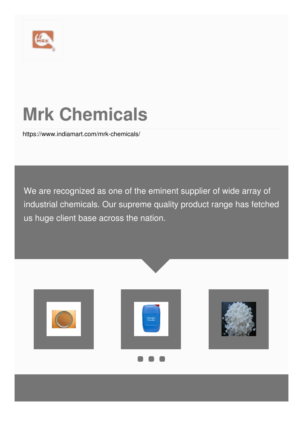

# **Mrk Chemicals**

<https://www.indiamart.com/mrk-chemicals/>

We are recognized as one of the eminent supplier of wide array of industrial chemicals. Our supreme quality product range has fetched us huge client base across the nation.





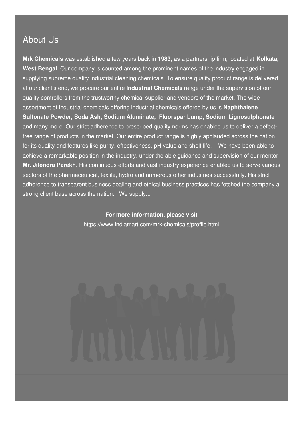#### About Us

**Mrk Chemicals** was established a few years back in **1983**, as a partnership firm, located at **Kolkata, West Bengal**. Our company is counted among the prominent names of the industry engaged in supplying supreme quality industrial cleaning chemicals. To ensure quality product range is delivered at our client's end, we procure our entire **Industrial Chemicals** range under the supervision of our quality controllers from the trustworthy chemical supplier and vendors of the market. The wide assortment of industrial chemicals offering industrial chemicals offered by us is **Naphthalene Sulfonate Powder, Soda Ash, Sodium Aluminate, Fluorspar Lump, Sodium Lignosulphonate** and many more. Our strict adherence to prescribed quality norms has enabled us to deliver a defectfree range of products in the market. Our entire product range is highly applauded across the nation for its quality and features like purity, effectiveness, pH value and shelf life. We have been able to achieve a remarkable position in the industry, under the able guidance and supervision of our mentor **Mr. Jitendra Parekh**. His continuous efforts and vast industry experience enabled us to serve various sectors of the pharmaceutical, textile, hydro and numerous other industries successfully. His strict adherence to transparent business dealing and ethical business practices has fetched the company a strong client base across the nation. We supply...

> **For more information, please visit** <https://www.indiamart.com/mrk-chemicals/profile.html>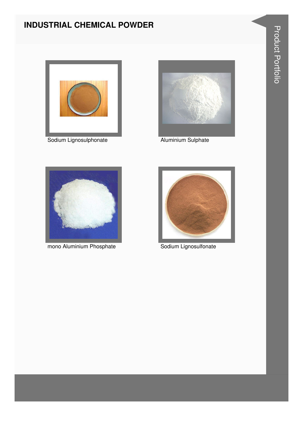#### **INDUSTRIAL CHEMICAL POWDER**



Sodium Lignosulphonate **Aluminium Sulphate** 





mono Aluminium Phosphate **Sodium Lignosulfonate** 

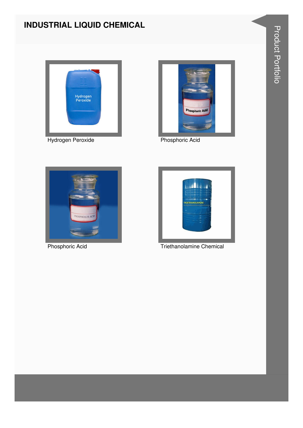### **INDUSTRIAL LIQUID CHEMICAL**











Phosphoric Acid Triethanolamine Chemical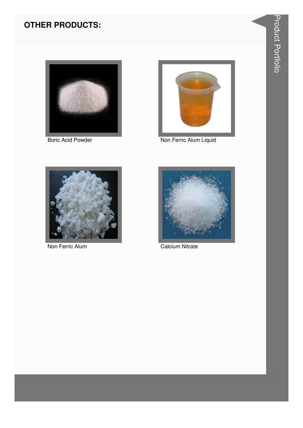#### **OTHER PRODUCTS:**





Boric Acid Powder Non Ferric Alum Liquid



Non Ferric Alum **Calcium Nitrate** 

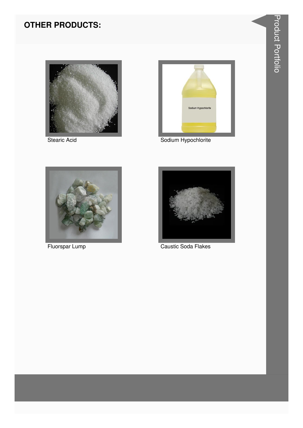#### **OTHER PRODUCTS:**





Stearic Acid **Stearic Acid** Sodium Hypochlorite





Fluorspar Lump Caustic Soda Flakes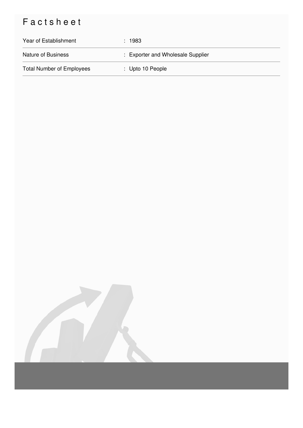## Factsheet

| Year of Establishment            | : 1983                            |
|----------------------------------|-----------------------------------|
| <b>Nature of Business</b>        | : Exporter and Wholesale Supplier |
| <b>Total Number of Employees</b> | $\therefore$ Upto 10 People       |